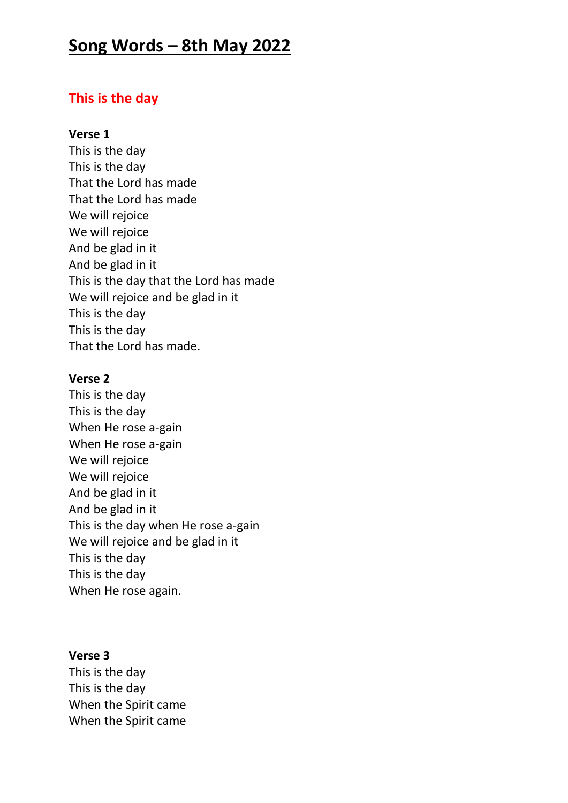# **Song Words – 8th May 2022**

# **This is the day**

### **Verse 1**

This is the day This is the day That the Lord has made That the Lord has made We will rejoice We will rejoice And be glad in it And be glad in it This is the day that the Lord has made We will rejoice and be glad in it This is the day This is the day That the Lord has made.

#### **Verse 2**

This is the day This is the day When He rose a-gain When He rose a-gain We will rejoice We will rejoice And be glad in it And be glad in it This is the day when He rose a-gain We will rejoice and be glad in it This is the day This is the day When He rose again.

### **Verse 3**

This is the day This is the day When the Spirit came When the Spirit came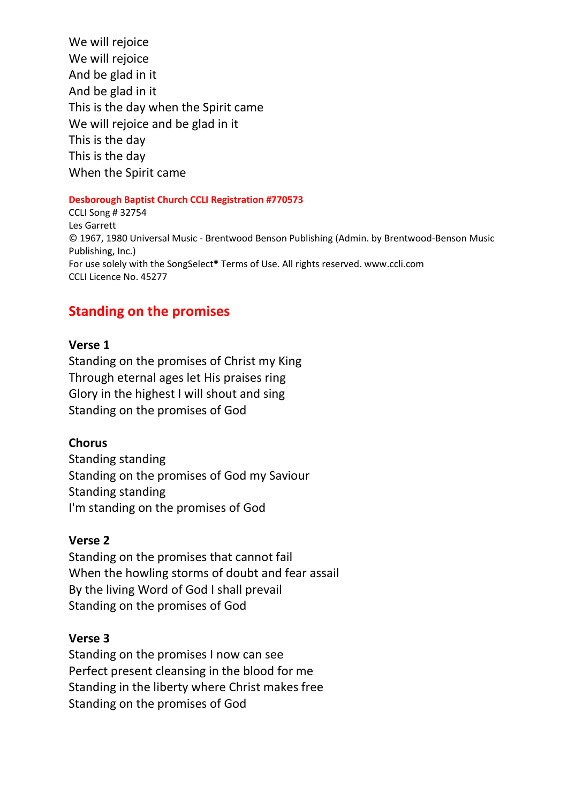We will rejoice We will rejoice And be glad in it And be glad in it This is the day when the Spirit came We will rejoice and be glad in it This is the day This is the day When the Spirit came

#### **Desborough Baptist Church CCLI Registration #770573**

CCLI Song # 32754 Les Garrett © 1967, 1980 Universal Music - Brentwood Benson Publishing (Admin. by Brentwood-Benson Music Publishing, Inc.) For use solely with the SongSelect® Terms of Use. All rights reserved. www.ccli.com CCLI Licence No. 45277

# **Standing on the promises**

### **Verse 1**

Standing on the promises of Christ my King Through eternal ages let His praises ring Glory in the highest I will shout and sing Standing on the promises of God

### **Chorus**

Standing standing Standing on the promises of God my Saviour Standing standing I'm standing on the promises of God

### **Verse 2**

Standing on the promises that cannot fail When the howling storms of doubt and fear assail By the living Word of God I shall prevail Standing on the promises of God

#### **Verse 3**

Standing on the promises I now can see Perfect present cleansing in the blood for me Standing in the liberty where Christ makes free Standing on the promises of God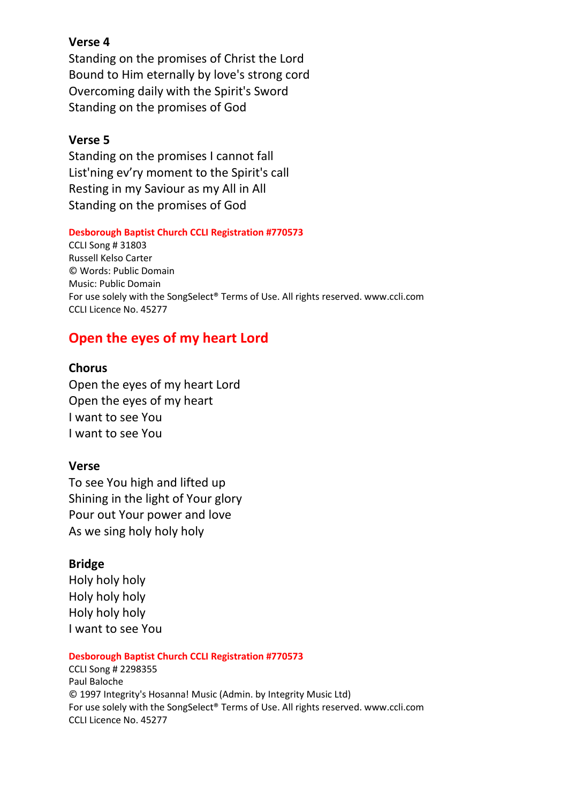### **Verse 4**

Standing on the promises of Christ the Lord Bound to Him eternally by love's strong cord Overcoming daily with the Spirit's Sword Standing on the promises of God

### **Verse 5**

Standing on the promises I cannot fall List'ning ev'ry moment to the Spirit's call Resting in my Saviour as my All in All Standing on the promises of God

#### **Desborough Baptist Church CCLI Registration #770573**

CCLI Song # 31803 Russell Kelso Carter © Words: Public Domain Music: Public Domain For use solely with the SongSelect® Terms of Use. All rights reserved. www.ccli.com CCLI Licence No. 45277

# **Open the eyes of my heart Lord**

### **Chorus**

Open the eyes of my heart Lord Open the eyes of my heart I want to see You I want to see You

### **Verse**

To see You high and lifted up Shining in the light of Your glory Pour out Your power and love As we sing holy holy holy

### **Bridge**

Holy holy holy Holy holy holy Holy holy holy I want to see You

#### **Desborough Baptist Church CCLI Registration #770573**

CCLI Song # 2298355 Paul Baloche © 1997 Integrity's Hosanna! Music (Admin. by Integrity Music Ltd) For use solely with the SongSelect® Terms of Use. All rights reserved. www.ccli.com CCLI Licence No. 45277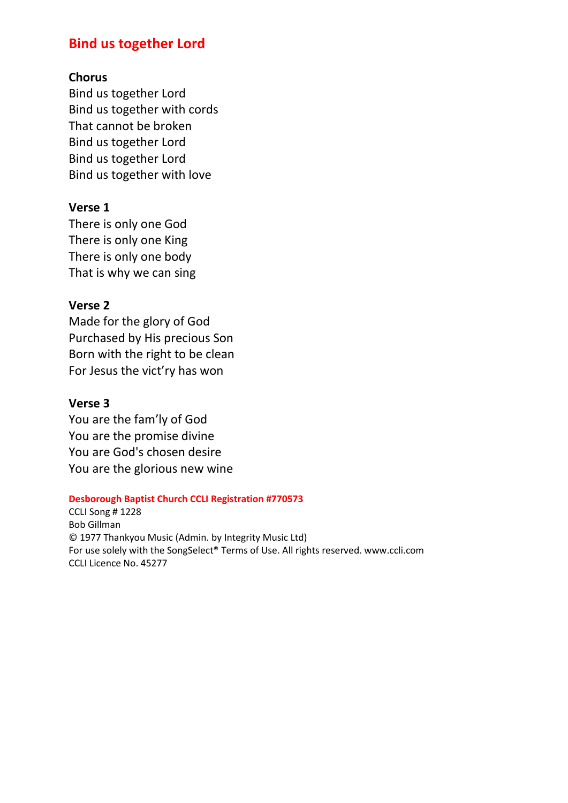# **Bind us together Lord**

### **Chorus**

Bind us together Lord Bind us together with cords That cannot be broken Bind us together Lord Bind us together Lord Bind us together with love

### **Verse 1**

There is only one God There is only one King There is only one body That is why we can sing

### **Verse 2**

Made for the glory of God Purchased by His precious Son Born with the right to be clean For Jesus the vict'ry has won

### **Verse 3**

You are the fam'ly of God You are the promise divine You are God's chosen desire You are the glorious new wine

#### **Desborough Baptist Church CCLI Registration #770573**

CCLI Song # 1228 Bob Gillman © 1977 Thankyou Music (Admin. by Integrity Music Ltd) For use solely with the SongSelect® Terms of Use. All rights reserved. www.ccli.com CCLI Licence No. 45277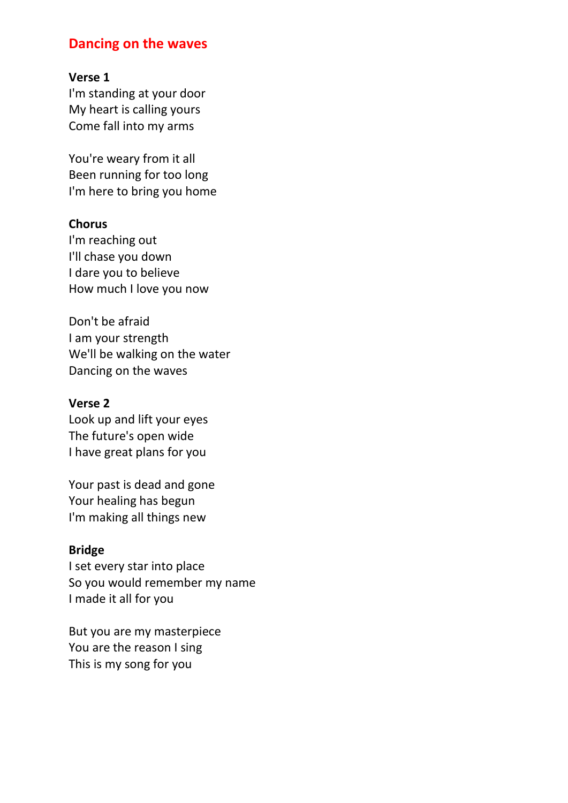# **Dancing on the waves**

### **Verse 1**

I'm standing at your door My heart is calling yours Come fall into my arms

You're weary from it all Been running for too long I'm here to bring you home

### **Chorus**

I'm reaching out I'll chase you down I dare you to believe How much I love you now

Don't be afraid I am your strength We'll be walking on the water Dancing on the waves

#### **Verse 2**

Look up and lift your eyes The future's open wide I have great plans for you

Your past is dead and gone Your healing has begun I'm making all things new

### **Bridge**

I set every star into place So you would remember my name I made it all for you

But you are my masterpiece You are the reason I sing This is my song for you